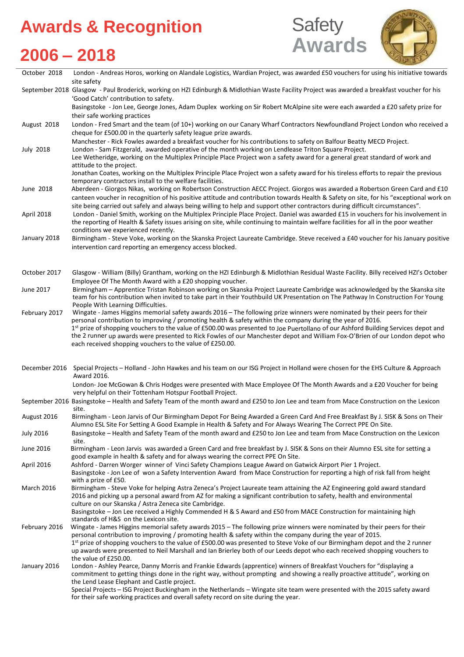### **Awards & Recognition**







| October 2018                                       | London - Andreas Horos, working on Alandale Logistics, Wardian Project, was awarded £50 vouchers for using his initiative towards<br>site safety                                                                                                                                                                                                                                                                                                   |
|----------------------------------------------------|----------------------------------------------------------------------------------------------------------------------------------------------------------------------------------------------------------------------------------------------------------------------------------------------------------------------------------------------------------------------------------------------------------------------------------------------------|
|                                                    | September 2018 Glasgow - Paul Broderick, working on HZI Edinburgh & Midlothian Waste Facility Project was awarded a breakfast voucher for his<br>'Good Catch' contribution to safety.                                                                                                                                                                                                                                                              |
|                                                    | Basingstoke - Jon Lee, George Jones, Adam Duplex working on Sir Robert McAlpine site were each awarded a £20 safety prize for<br>their safe working practices                                                                                                                                                                                                                                                                                      |
| August 2018                                        | London - Fred Smart and the team (of 10+) working on our Canary Wharf Contractors Newfoundland Project London who received a<br>cheque for £500.00 in the quarterly safety league prize awards.                                                                                                                                                                                                                                                    |
| <b>July 2018</b>                                   | Manchester - Rick Fowles awarded a breakfast voucher for his contributions to safety on Balfour Beatty MECD Project.<br>London - Sam Fitzgerald, awarded operative of the month working on Lendlease Triton Square Project.                                                                                                                                                                                                                        |
|                                                    | Lee Wetheridge, working on the Multiplex Principle Place Project won a safety award for a general great standard of work and<br>attitude to the project.                                                                                                                                                                                                                                                                                           |
|                                                    | Jonathan Coates, working on the Multiplex Principle Place Project won a safety award for his tireless efforts to repair the previous<br>temporary contractors install to the welfare facilities.                                                                                                                                                                                                                                                   |
| June 2018                                          | Aberdeen - Giorgos Nikas, working on Robertson Construction AECC Project. Giorgos was awarded a Robertson Green Card and £10<br>canteen voucher in recognition of his positive attitude and contribution towards Health & Safety on site, for his "exceptional work on                                                                                                                                                                             |
| April 2018                                         | site being carried out safely and always being willing to help and support other contractors during difficult circumstances".<br>London - Daniel Smith, working on the Multiplex Principle Place Project. Daniel was awarded £15 in vouchers for his involvement in<br>the reporting of Health & Safety issues arising on site, while continuing to maintain welfare facilities for all in the poor weather<br>conditions we experienced recently. |
| January 2018                                       | Birmingham - Steve Voke, working on the Skanska Project Laureate Cambridge. Steve received a £40 voucher for his January positive<br>intervention card reporting an emergency access blocked.                                                                                                                                                                                                                                                      |
| October 2017                                       | Glasgow - William (Billy) Grantham, working on the HZI Edinburgh & Midlothian Residual Waste Facility. Billy received HZI's October<br>Employee Of The Month Award with a £20 shopping voucher.                                                                                                                                                                                                                                                    |
| June 2017                                          | Birmingham - Apprentice Tristan Robinson working on Skanska Project Laureate Cambridge was acknowledged by the Skanska site<br>team for his contribution when invited to take part in their Youthbuild UK Presentation on The Pathway In Construction For Young                                                                                                                                                                                    |
| February 2017                                      | People With Learning Difficulties.<br>Wingate - James Higgins memorial safety awards 2016 - The following prize winners were nominated by their peers for their<br>personal contribution to improving / promoting health & safety within the company during the year of 2016.                                                                                                                                                                      |
|                                                    | 1st prize of shopping vouchers to the value of £500.00 was presented to Joe Puertollano of our Ashford Building Services depot and<br>the 2 runner up awards were presented to Rick Fowles of our Manchester depot and William Fox-O'Brien of our London depot who<br>each received shopping vouchers to the value of £250.00.                                                                                                                     |
| December 2016                                      | Special Projects - Holland - John Hawkes and his team on our ISG Project in Holland were chosen for the EHS Culture & Approach<br>Award 2016.                                                                                                                                                                                                                                                                                                      |
|                                                    | London-Joe McGowan & Chris Hodges were presented with Mace Employee Of The Month Awards and a £20 Voucher for being<br>very helpful on their Tottenham Hotspur Football Project.                                                                                                                                                                                                                                                                   |
|                                                    | September 2016 Basingstoke - Health and Safety Team of the month award and £250 to Jon Lee and team from Mace Construction on the Lexicon<br>site.                                                                                                                                                                                                                                                                                                 |
| August 2016                                        | Birmingham - Leon Jarvis of Our Birmingham Depot For Being Awarded a Green Card And Free Breakfast By J. SISK & Sons on Their<br>Alumno ESL Site For Setting A Good Example in Health & Safety and For Always Wearing The Correct PPE On Site.                                                                                                                                                                                                     |
| <b>July 2016</b>                                   | Basingstoke - Health and Safety Team of the month award and £250 to Jon Lee and team from Mace Construction on the Lexicon<br>site.                                                                                                                                                                                                                                                                                                                |
| June 2016                                          | Birmingham - Leon Jarvis was awarded a Green Card and free breakfast by J. SISK & Sons on their Alumno ESL site for setting a<br>good example in health & safety and for always wearing the correct PPE On Site.                                                                                                                                                                                                                                   |
| April 2016                                         | Ashford - Darren Worger winner of Vinci Safety Champions League Award on Gatwick Airport Pier 1 Project.<br>Basingstoke - Jon Lee of won a Safety Intervention Award from Mace Construction for reporting a high of risk fall from height<br>with a prize of £50.                                                                                                                                                                                  |
|                                                    |                                                                                                                                                                                                                                                                                                                                                                                                                                                    |
|                                                    | Birmingham - Steve Voke for helping Astra Zeneca's Project Laureate team attaining the AZ Engineering gold award standard<br>2016 and picking up a personal award from AZ for making a significant contribution to safety, health and environmental                                                                                                                                                                                                |
|                                                    | culture on our Skanska / Astra Zeneca site Cambridge.<br>Basingstoke - Jon Lee received a Highly Commended H & S Award and £50 from MACE Construction for maintaining high                                                                                                                                                                                                                                                                         |
|                                                    | standards of H&S on the Lexicon site.<br>Wingate - James Higgins memorial safety awards 2015 - The following prize winners were nominated by their peers for their<br>personal contribution to improving / promoting health & safety within the company during the year of 2015.<br>1st prize of shopping vouchers to the value of £500.00 was presented to Steve Voke of our Birmingham depot and the 2 runner                                    |
| <b>March 2016</b><br>February 2016<br>January 2016 | up awards were presented to Neil Marshall and Ian Brierley both of our Leeds depot who each received shopping vouchers to<br>the value of £250.00.<br>London - Ashley Pearce, Danny Morris and Frankie Edwards (apprentice) winners of Breakfast Vouchers for "displaying a<br>commitment to getting things done in the right way, without prompting and showing a really proactive attitude", working on                                          |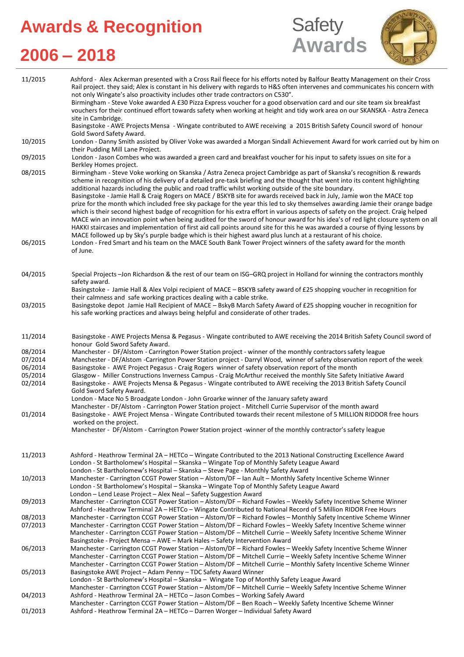# **Awards & Recognition**





## **2006 – 2018**

| 11/2015            | Ashford - Alex Ackerman presented with a Cross Rail fleece for his efforts noted by Balfour Beatty Management on their Cross<br>Rail project. they said; Alex is constant in his delivery with regards to H&S often intervenes and communicates his concern with<br>not only Wingate's also proactivity includes other trade contractors on C530".<br>Birmingham - Steve Voke awarded A £30 Pizza Express voucher for a good observation card and our site team six breakfast<br>vouchers for their continued effort towards safety when working at height and tidy work area on our SKANSKA - Astra Zeneca<br>site in Cambridge.<br>Basingstoke - AWE Projects Mensa - Wingate contributed to AWE receiving a 2015 British Safety Council sword of honour                                                                                                                                                                                                                                                                                                                                                                                                                      |
|--------------------|---------------------------------------------------------------------------------------------------------------------------------------------------------------------------------------------------------------------------------------------------------------------------------------------------------------------------------------------------------------------------------------------------------------------------------------------------------------------------------------------------------------------------------------------------------------------------------------------------------------------------------------------------------------------------------------------------------------------------------------------------------------------------------------------------------------------------------------------------------------------------------------------------------------------------------------------------------------------------------------------------------------------------------------------------------------------------------------------------------------------------------------------------------------------------------|
| 10/2015            | Gold Sword Safety Award.<br>London - Danny Smith assisted by Oliver Voke was awarded a Morgan Sindall Achievement Award for work carried out by him on                                                                                                                                                                                                                                                                                                                                                                                                                                                                                                                                                                                                                                                                                                                                                                                                                                                                                                                                                                                                                          |
| 09/2015            | their Pudding Mill Lane Project.<br>London - Jason Combes who was awarded a green card and breakfast voucher for his input to safety issues on site for a                                                                                                                                                                                                                                                                                                                                                                                                                                                                                                                                                                                                                                                                                                                                                                                                                                                                                                                                                                                                                       |
| 08/2015            | Berkley Homes project.<br>Birmingham - Steve Voke working on Skanska / Astra Zeneca project Cambridge as part of Skanska's recognition & rewards<br>scheme in recognition of his delivery of a detailed pre-task briefing and the thought that went into its content highlighting<br>additional hazards including the public and road traffic whilst working outside of the site boundary.<br>Basingstoke - Jamie Hall & Craig Rogers on MACE / BSKYB site for awards received back in July, Jamie won the MACE top<br>prize for the month which included free sky package for the year this led to sky themselves awarding Jamie their orange badge<br>which is their second highest badge of recognition for his extra effort in various aspects of safety on the project. Craig helped<br>MACE win an innovation point when being audited for the sword of honour award for his idea's of red light closure system on all<br>HAKKI staircases and implementation of first aid call points around site for this he was awarded a course of flying lessons by<br>MACE followed up by Sky's purple badge which is their highest award plus lunch at a restaurant of his choice. |
| 06/2015            | London - Fred Smart and his team on the MACE South Bank Tower Project winners of the safety award for the month<br>of June.                                                                                                                                                                                                                                                                                                                                                                                                                                                                                                                                                                                                                                                                                                                                                                                                                                                                                                                                                                                                                                                     |
| 04/2015            | Special Projects-Jon Richardson & the rest of our team on ISG-GRQ project in Holland for winning the contractors monthly<br>safety award.<br>Basingstoke - Jamie Hall & Alex Volpi recipient of MACE - BSKYB safety award of £25 shopping voucher in recognition for                                                                                                                                                                                                                                                                                                                                                                                                                                                                                                                                                                                                                                                                                                                                                                                                                                                                                                            |
| 03/2015            | their calmness and safe working practices dealing with a cable strike.<br>Basingstoke depot Jamie Hall Recipient of MACE - BskyB March Safety Award of £25 shopping voucher in recognition for<br>his safe working practices and always being helpful and considerate of other trades.                                                                                                                                                                                                                                                                                                                                                                                                                                                                                                                                                                                                                                                                                                                                                                                                                                                                                          |
| 11/2014            | Basingstoke - AWE Projects Mensa & Pegasus - Wingate contributed to AWE receiving the 2014 British Safety Council sword of<br>honour Gold Sword Safety Award.                                                                                                                                                                                                                                                                                                                                                                                                                                                                                                                                                                                                                                                                                                                                                                                                                                                                                                                                                                                                                   |
| 08/2014            | Manchester - DF/Alstom - Carrington Power Station project - winner of the monthly contractors safety league                                                                                                                                                                                                                                                                                                                                                                                                                                                                                                                                                                                                                                                                                                                                                                                                                                                                                                                                                                                                                                                                     |
| 07/2014            | Manchester - DF/Alstom -Carrington Power Station project - Darryl Wood, winner of safety observation report of the week                                                                                                                                                                                                                                                                                                                                                                                                                                                                                                                                                                                                                                                                                                                                                                                                                                                                                                                                                                                                                                                         |
| 06/2014<br>05/2014 | Basingstoke - AWE Project Pegasus - Craig Rogers winner of safety observation report of the month                                                                                                                                                                                                                                                                                                                                                                                                                                                                                                                                                                                                                                                                                                                                                                                                                                                                                                                                                                                                                                                                               |
| 02/2014            | Glasgow - Miller Constructions Inverness Campus - Craig McArthur received the monthly Site Safety Initiative Award<br>Basingstoke - AWE Projects Mensa & Pegasus - Wingate contributed to AWE receiving the 2013 British Safety Council<br>Gold Sword Safety Award.<br>London - Mace No 5 Broadgate London - John Groarke winner of the January safety award                                                                                                                                                                                                                                                                                                                                                                                                                                                                                                                                                                                                                                                                                                                                                                                                                    |
| 01/2014            | Manchester - DF/Alstom - Carrington Power Station project - Mitchell Currie Supervisor of the month award<br>Basingstoke - AWE Project Mensa - Wingate Contributed towards their recent milestone of 5 MILLION RIDDOR free hours<br>worked on the project.                                                                                                                                                                                                                                                                                                                                                                                                                                                                                                                                                                                                                                                                                                                                                                                                                                                                                                                      |
|                    | Manchester - DF/Alstom - Carrington Power Station project -winner of the monthly contractor's safety league                                                                                                                                                                                                                                                                                                                                                                                                                                                                                                                                                                                                                                                                                                                                                                                                                                                                                                                                                                                                                                                                     |
| 11/2013            | Ashford - Heathrow Terminal 2A - HETCo - Wingate Contributed to the 2013 National Constructing Excellence Award<br>London - St Bartholomew's Hospital - Skanska - Wingate Top of Monthly Safety League Award<br>London - St Bartholomew's Hospital - Skanska - Steve Page - Monthly Safety Award                                                                                                                                                                                                                                                                                                                                                                                                                                                                                                                                                                                                                                                                                                                                                                                                                                                                                |
| 10/2013            | Manchester - Carrington CCGT Power Station - Alstom/DF - Ian Ault - Monthly Safety Incentive Scheme Winner<br>London - St Bartholomew's Hospital – Skanska – Wingate Top of Monthly Safety League Award<br>London - Lend Lease Project - Alex Neal - Safety Suggestion Award                                                                                                                                                                                                                                                                                                                                                                                                                                                                                                                                                                                                                                                                                                                                                                                                                                                                                                    |
| 09/2013            | Manchester - Carrington CCGT Power Station - Alstom/DF - Richard Fowles - Weekly Safety Incentive Scheme Winner<br>Ashford - Heathrow Terminal 2A - HETCo - Wingate Contributed to National Record of 5 Million RIDOR Free Hours                                                                                                                                                                                                                                                                                                                                                                                                                                                                                                                                                                                                                                                                                                                                                                                                                                                                                                                                                |
| 08/2013            | Manchester - Carrington CCGT Power Station - Alstom/DF - Richard Fowles - Monthly Safety Incentive Scheme Winner                                                                                                                                                                                                                                                                                                                                                                                                                                                                                                                                                                                                                                                                                                                                                                                                                                                                                                                                                                                                                                                                |
| 07/2013            | Manchester - Carrington CCGT Power Station - Alstom/DF - Richard Fowles - Weekly Safety Incentive Scheme winner                                                                                                                                                                                                                                                                                                                                                                                                                                                                                                                                                                                                                                                                                                                                                                                                                                                                                                                                                                                                                                                                 |
|                    | Manchester - Carrington CCGT Power Station - Alstom/DF - Mitchell Currie - Weekly Safety Incentive Scheme Winner                                                                                                                                                                                                                                                                                                                                                                                                                                                                                                                                                                                                                                                                                                                                                                                                                                                                                                                                                                                                                                                                |
| 06/2013            | Basingstoke - Project Mensa - AWE - Mark Hales - Safety Intervention Award<br>Manchester - Carrington CCGT Power Station - Alstom/DF - Richard Fowles - Weekly Safety Incentive Scheme Winner<br>Manchester - Carrington CCGT Power Station - Alstom/DF - Mitchell Currie - Weekly Safety Incentive Scheme Winner<br>Manchester - Carrington CCGT Power Station - Alstom/DF - Mitchell Currie - Monthly Safety Incentive Scheme Winner                                                                                                                                                                                                                                                                                                                                                                                                                                                                                                                                                                                                                                                                                                                                          |
| 05/2013            | Basingstoke AWE Project - Adam Penny - TDC Safety Award Winner<br>London - St Bartholomew's Hospital - Skanska - Wingate Top of Monthly Safety League Award                                                                                                                                                                                                                                                                                                                                                                                                                                                                                                                                                                                                                                                                                                                                                                                                                                                                                                                                                                                                                     |
| 04/2013            | Manchester - Carrington CCGT Power Station - Alstom/DF - Mitchell Currie - Weekly Safety Incentive Scheme Winner<br>Ashford - Heathrow Terminal 2A - HETCo - Jason Combes - Working Safely Award                                                                                                                                                                                                                                                                                                                                                                                                                                                                                                                                                                                                                                                                                                                                                                                                                                                                                                                                                                                |
| 01/2013            | Manchester - Carrington CCGT Power Station - Alstom/DF - Ben Roach - Weekly Safety Incentive Scheme Winner<br>Ashford - Heathrow Terminal 2A - HETCo - Darren Worger - Individual Safety Award                                                                                                                                                                                                                                                                                                                                                                                                                                                                                                                                                                                                                                                                                                                                                                                                                                                                                                                                                                                  |